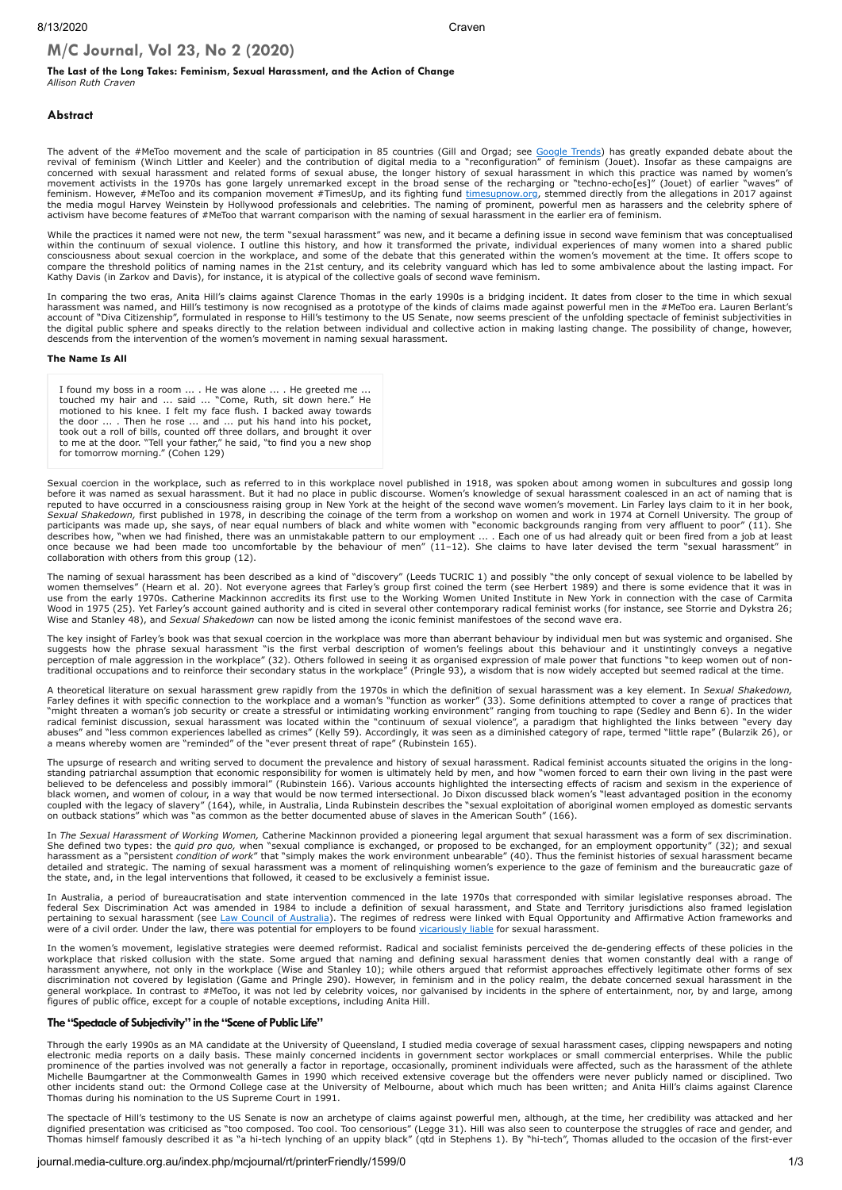# **M/C Journal, Vol 23, No 2 (2020)**

### **The Last of the Long Takes: Feminism, Sexual Harassment, and the Action of Change** *Allison Ruth Craven*

### **Abstract**

The advent of the #MeToo movement and the scale of participation in 85 countries (Gill and Orgad; see <u>[Google](https://metoorising.withgoogle.com/) Trends</u>) has greatly expanded debate about the<br>revival of feminism (Winch Littler and Keeler) and the contributi concerned with sexual harassment and related forms of sexual abuse, the longer history of sexual harassment in which this practice was named by women's<br>movement activists in the 1970s has gone largely unremarked except in feminism. However, #MeToo and its companion movement #TimesUp, and its fighting fund [timesupnow.org,](https://timesupnow.org/) stemmed directly from the allegations in 2017 against the media mogul Harvey Weinstein by Hollywood professionals and celebrities. The naming of prominent, powerful men as harassers and the celebrity sphere of<br>activism have become features of #MeToo that warrant comparison wi

While the practices it named were not new, the term "sexual harassment" was new, and it became a defining issue in second wave feminism that was conceptualised within the continuum of sexual violence. I outline this history, and how it transformed the private, individual experiences of many women into a shared public consciousness about sexual coercion in the workplace, and some of the debate that this generated within the women's movement at the time. It offers scope to<br>compare the threshold politics of naming names in the 21st centur Kathy Davis (in Zarkov and Davis), for instance, it is atypical of the collective goals of second wave feminism.

In comparing the two eras, Anita Hill's claims against Clarence Thomas in the early 1990s is a bridging incident. It dates from closer to the time in which sexual<br>harassment was named, and Hill's testimony is now recognise descends from the intervention of the women's movement in naming sexual harassment.

### **The Name Is All**

I found my boss in a room ... . He was alone ... . He greeted me ...<br>touched my hair and ... said ... "Come, Ruth, sit down here." He<br>motioned to his knee. I felt my face flush. I backed away towards<br>the door ... . Then h

Sexual coercion in the workplace, such as referred to in this workplace novel published in 1918, was spoken about among women in subcultures and gossip long before it was named as sexual harassment. But it had no place in public discourse. Women's knowledge of sexual harassment coalesced in an act of naming that is<br>reputed to have occurred in a consciousness raising group in N *Sexual Shakedown,* first published in 1978, in describing the coinage of the term from a workshop on women and work in 1974 at Cornell University. The group of participants was made up, she says, of near equal numbers of black and white women with "economic backgrounds ranging from very affluent to poor" (11). She<br>describes how, "when we had finished, there was an unmistakable pa once because we had been made too uncomfortable by the behaviour of men" (11–12). She claims to have later devised the term "sexual harassment" in collaboration with others from this group (12).

The naming of sexual harassment has been described as a kind of "discovery" (Leeds TUCRIC 1) and possibly "the only concept of sexual violence to be labelled by<br>women themselves" (Hearn et al. 20). Not everyone agrees that Wood in 1975 (25). Yet Farley's account gained authority and is cited in several other contemporary radical feminist works (for instance, see Storrie and Dykstra 26;<br>Wise and Stanley 48), and *Sexual Shakedown* can now be

The key insight of Farley's book was that sexual coercion in the workplace was more than aberrant behaviour by individual men but was systemic and organised. She suggests how the phrase sexual harassment "is the first verbal description of women's feelings about this behaviour and it unstintingly conveys a negative<br>perception of male aggression in the workplace" (32). Others follow

A theoretical literature on sexual harassment grew rapidly from the 1970s in which the definition of sexual harassment was a key element. In *Sexual Shakedown,* Farley defines it with specific connection to the workplace and a woman's "function as worker" (33). Some definitions attempted to cover a range of practices that<br>"might threaten a woman's job security or create a stressfu a means whereby women are "reminded" of the "ever present threat of rape" (Rubinstein 165).

The upsurge of research and writing served to document the prevalence and history of sexual harassment. Radical feminist accounts situated the origins in the longstanding patriarchal assumption that economic responsibility for women is ultimately held by men, and how "women forced to earn their own living in the past were<br>believed to be defenceless and possibly immoral" (Rubinstein on outback stations" which was "as common as the better documented abuse of slaves in the American South" (166).

In *The Sexual Harassment of Working Women,* Catherine Mackinnon provided a pioneering legal argument that sexual harassment was a form of sex discrimination.<br>She defined two types: the *quid pro quo,* when "sexual complia the state, and, in the legal interventions that followed, it ceased to be exclusively a feminist issue.

In Australia, a period of bureaucratisation and state intervention commenced in the late 1970s that corresponded with similar legislative responses abroad. The federal Sex Discrimination Act was amended in 1984 to include a definition of sexual harassment, and State and Territory jurisdictions also framed legislation pertaining to sexual harassment (see <u>Law Council of Australia</u>). The regimes of redress were linked with Equal Opportunity and Affirmative Action frameworks and<br>were of a civil order. Under the law, there was potential fo

In the women's movement, legislative strategies were deemed reformist. Radical and socialist feminists perceived the de-gendering effects of these policies in the workplace that risked collusion with the state. Some argued that naming and defining sexual harassment denies that women constantly deal with a range of<br>harassment anywhere, not only in the workplace (Wise and Stanley 10);

### **The "Spectacle of Subjectivity" in the "Scene of Public Life"**

Through the early 1990s as an MA candidate at the University of Queensland, I studied media coverage of sexual harassment cases, clipping newspapers and noting<br>electronic media reports on a daily basis. These mainly concer prominence of the parties involved was not generally a factor in reportage, occasionally, prominent individuals were affected, such as the harassment of the athlete<br>Michelle Baumgartner at the Commonwealth Games in 1990 wh other incidents stand out: the Ormond College case at the University of Melbourne, about which much has been written; and Anita Hill's claims against Clarence Thomas during his nomination to the US Supreme Court in 1991.

The spectacle of Hill's testimony to the US Senate is now an archetype of claims against powerful men, although, at the time, her credibility was attacked and her<br>dignified presentation was criticised as "too composed. Too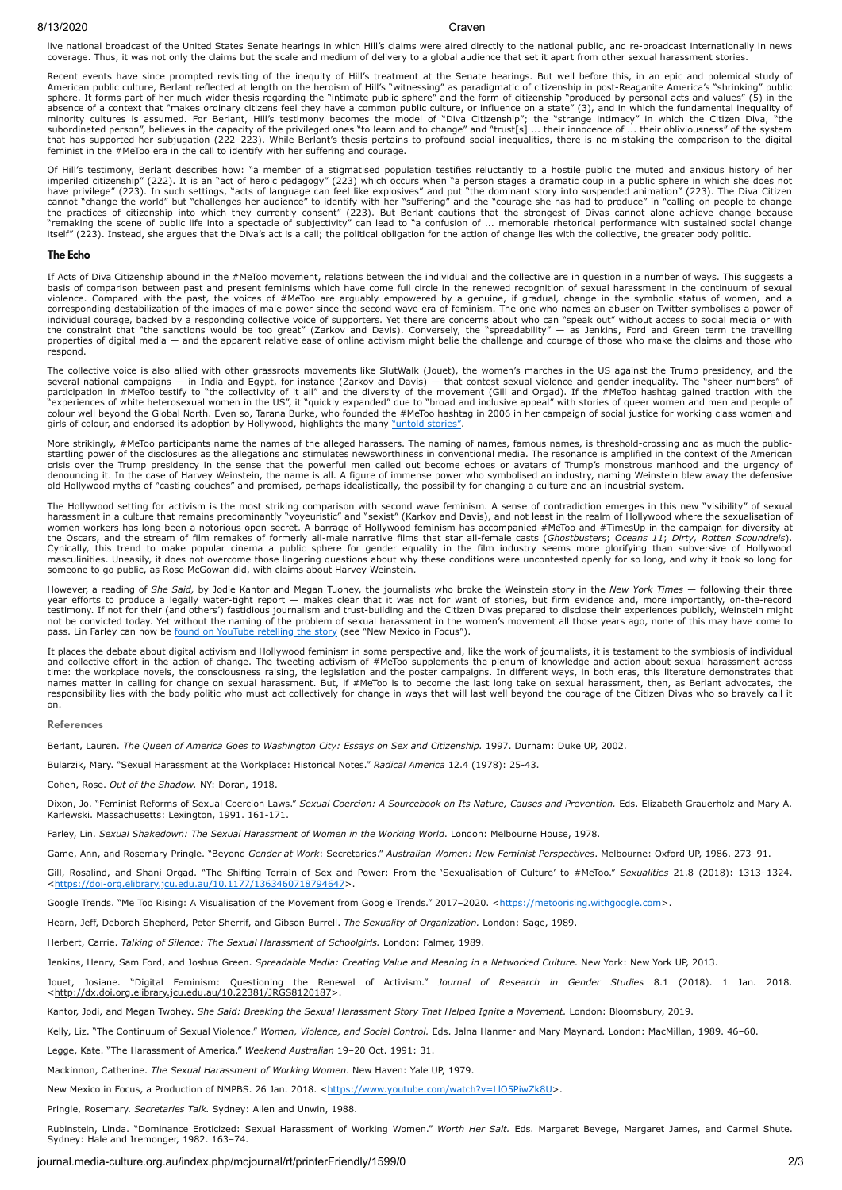## 8/13/2020 Craven

live national broadcast of the United States Senate hearings in which Hill's claims were aired directly to the national public, and re-broadcast internationally in news coverage. Thus, it was not only the claims but the scale and medium of delivery to a global audience that set it apart from other sexual harassment stories.

Recent events have since prompted revisiting of the inequity of Hill's treatment at the Senate hearings. But well before this, in an epic and polemical study of American public culture, Berlant reflected at length on the heroism of Hill's "witnessing" as paradigmatic of citizenship in post-Reaganite America's "shrinking" public sphere. It forms part of her much wider thesis regard feminist in the #MeToo era in the call to identify with her suffering and courage.

Of Hill's testimony, Berlant describes how: "a member of a stigmatised population testifies reluctantly to a hostile public the muted and anxious history of her<br>imperiled citizenship" (222). It is an "act of heroic pedagog the practices of citizenship into which they currently consent" (223). But Berlant cautions that the strongest of Divas cannot alone achieve change because<br>"remaking the scene of public life into a spectacle of subjectivit

### **The Echo**

If Acts of Diva Citizenship abound in the #MeToo movement, relations between the individual and the collective are in question in a number of ways. This suggests a basis of comparison between past and present feminisms which have come full circle in the renewed recognition of sexual harassment in the continuum of sexual<br>violence. Compared with the past, the voices of #MeToo are argua individual courage, backed by a responding collective voice of supporters. Yet there are concerns about who can "speak out" without access to social media or with<br>the constraint that "the sanctions would be too great" (Zar respond.

The collective voice is also allied with other grassroots movements like SlutWalk (Jouet), the women's marches in the US against the Trump presidency, and the several national campaigns — in India and Egypt, for instance ( girls of colour, and endorsed its adoption by Hollywood, highlights the many "untold [stories"](https://time.com/5574163/tarana-burke-metoo-time-100-summit/).

More strikingly, #MeToo participants name the names of the alleged harassers. The naming of names, famous names, is threshold-crossing and as much the publicstartling power of the disclosures as the allegations and stimulates newsworthiness in conventional media. The resonance is amplified in the context of the American<br>crisis over the Trump presidency in the sense that the po denouncing it. In the case of Harvey Weinstein, the name is all. A figure of immense power who symbolised an industry, naming Weinstein blew away the defensive old Hollywood myths of "casting couches" and promised, perhaps idealistically, the possibility for changing a culture and an industrial system.

The Hollywood setting for activism is the most striking comparison with second wave feminism. A sense of contradiction emerges in this new "visibility" of sexual<br>harassment in a culture that remains predominantly "voyeuris the Oscars, and the stream of film remakes of formerly all-male narrative films that star all-female casts (*Ghostbusters; Oceans 11; Dirty, Rotten Scoundrels*).<br>Cynically, this trend to make popular cinema a public sphere someone to go public, as Rose McGowan did, with claims about Harvey Weinstein.

However, a reading of *She Said,* by Jodie Kantor and Megan Tuohey, the journalists who broke the Weinstein story in the *New York Times* — following their three<br>year efforts to produce a legally water-tight report — makes testimony. If not for their (and others') fastidious journalism and trust-building and the Citizen Divas prepared to disclose their experiences publicly, Weinstein might not be convicted today. Yet without the naming of the problem of sexual harassment in the women's movement all those years ago, none of this may have come to<br>pass. Lin Farley can now be <u>found on [YouTube](https://www.youtube.com/watch?v=LlO5PiwZk8U) retelling the stor</u>

It places the debate about digital activism and Hollywood feminism in some perspective and, like the work of journalists, it is testament to the symbiosis of individual<br>and collective effort in the action of change. The tw on.

### **References**

Berlant, Lauren. *The Queen of America Goes to Washington City: Essays on Sex and Citizenship.* 1997. Durham: Duke UP, 2002.

Bularzik, Mary. "Sexual Harassment at the Workplace: Historical Notes." *Radical America* 12.4 (1978): 25-43.

Cohen, Rose. *Out of the Shadow.* NY: Doran, 1918.

Dixon, Jo. "Feminist Reforms of Sexual Coercion Laws." Sexual Coercion: A Sourcebook on Its Nature, Causes and Prevention. Eds. Elizabeth Grauerholz and Mary A. Karlewski. Massachusetts: Lexington, 1991. 161-171.

Farley, Lin. *Sexual Shakedown: The Sexual Harassment of Women in the Working World*. London: Melbourne House, 1978.

Game, Ann, and Rosemary Pringle. "Beyond *Gender at Work*: Secretaries." *Australian Women: New Feminist Perspectives*. Melbourne: Oxford UP, 1986. 273–91.

Gill, Rosalind, and Shani Orgad. "The Shifting Terrain of Sex and Power: From the 'Sexualisation of Culture' to #MeToo." *Sexualities* 21.8 (2018): 1313–1324. -org.elibrary.jcu.edu.au/10.1177/1363460718794647>.

Google Trends. "Me Too Rising: A Visualisation of the Movement from Google Trends." 2017-2020. <[https://metoorising.withgoogle.com>](https://metoorising.withgoogle.com/).

Hearn, Jeff, Deborah Shepherd, Peter Sherrif, and Gibson Burrell. *The Sexuality of Organization.* London: Sage, 1989.

Herbert, Carrie. *Talking of Silence: The Sexual Harassment of Schoolgirls.* London: Falmer, 1989.

Jenkins, Henry, Sam Ford, and Joshua Green. *Spreadable Media: Creating Value and Meaning in a Networked Culture.* New York: New York UP, 2013.

Jouet, Josiane. "Digital Feminism: Questioning the Renewal of Activism." *Journal of Research in Gender Studies* 8.1 (2018). 1 Jan. 2018. <http://dx.doi.org.elibrary.jcu.edu.au/10.22381/JRGS8120187>.

Kantor, Jodi, and Megan Twohey. *She Said: Breaking the Sexual Harassment Story That Helped Ignite a Movement.* London: Bloomsbury, 2019.

Kelly, Liz. "The Continuum of Sexual Violence." *Women, Violence, and Social Control.* Eds. Jalna Hanmer and Mary Maynard*.* London: MacMillan, 1989. 46–60.

Legge, Kate. "The Harassment of America." *Weekend Australian* 19–20 Oct. 1991: 31.

Mackinnon, Catherine. *The Sexual Harassment of Working Women*. New Haven: Yale UP, 1979.

New Mexico in Focus, a Production of NMPBS. 26 Jan. 2018. <[https://www.youtube.com/watch?v=LlO5PiwZk8U>](https://www.youtube.com/watch?v=LlO5PiwZk8U).

Pringle, Rosemary. *Secretaries Talk.* Sydney: Allen and Unwin, 1988.

Rubinstein, Linda. "Dominance Eroticized: Sexual Harassment of Working Women." *Worth Her Salt.* Eds. Margaret Bevege, Margaret James, and Carmel Shute. Sydney: Hale and Iremonger, 1982. 163–74.

### journal.media-culture.org.au/index.php/mcjournal/rt/printerFriendly/1599/0 2/3